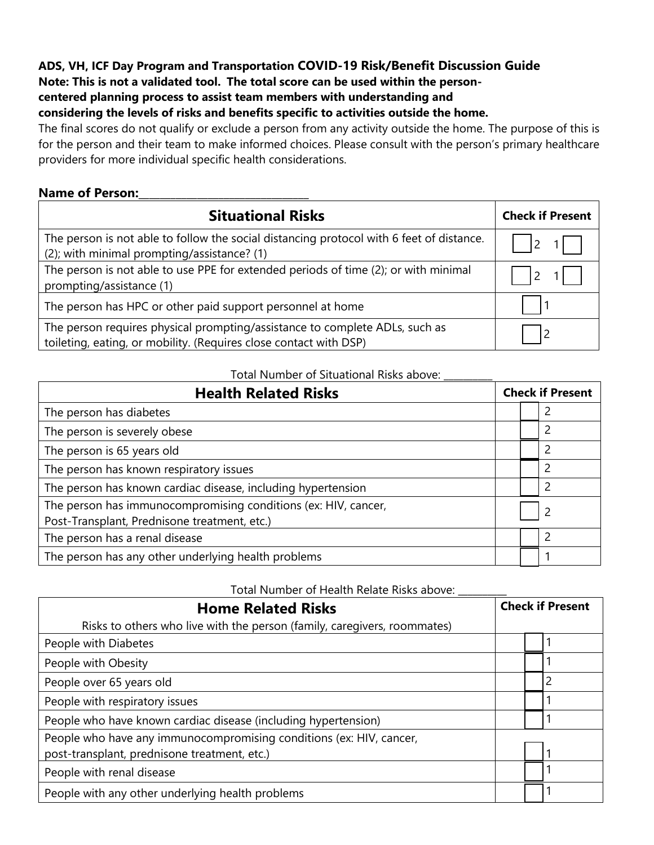## **ADS, VH, ICF Day Program and Transportation COVID-19 Risk/Benefit Discussion Guide**

**Note: This is not a validated tool. The total score can be used within the person-**

### **centered planning process to assist team members with understanding and**

**considering the levels of risks and benefits specific to activities outside the home.** 

The final scores do not qualify or exclude a person from any activity outside the home. The purpose of this is for the person and their team to make informed choices. Please consult with the person's primary healthcare providers for more individual specific health considerations.

### **Name of Person:\_\_\_\_\_\_\_\_\_\_\_\_\_\_\_\_\_\_\_\_\_\_\_\_\_\_\_\_\_\_\_\_**

| <b>Situational Risks</b>                                                                                                                         | <b>Check if Present</b> |
|--------------------------------------------------------------------------------------------------------------------------------------------------|-------------------------|
| The person is not able to follow the social distancing protocol with 6 feet of distance.<br>(2); with minimal prompting/assistance? (1)          |                         |
| The person is not able to use PPE for extended periods of time (2); or with minimal<br>prompting/assistance (1)                                  | $\overline{2}$          |
| The person has HPC or other paid support personnel at home                                                                                       |                         |
| The person requires physical prompting/assistance to complete ADLs, such as<br>toileting, eating, or mobility. (Requires close contact with DSP) |                         |

#### Total Number of Situational Risks above:

| <b>Health Related Risks</b>                                                                                    | <b>Check if Present</b> |  |
|----------------------------------------------------------------------------------------------------------------|-------------------------|--|
| The person has diabetes                                                                                        |                         |  |
| The person is severely obese                                                                                   |                         |  |
| The person is 65 years old                                                                                     |                         |  |
| The person has known respiratory issues                                                                        |                         |  |
| The person has known cardiac disease, including hypertension                                                   |                         |  |
| The person has immunocompromising conditions (ex: HIV, cancer,<br>Post-Transplant, Prednisone treatment, etc.) |                         |  |
| The person has a renal disease                                                                                 |                         |  |
| The person has any other underlying health problems                                                            |                         |  |

Total Number of Health Relate Risks above:

| <b>Home Related Risks</b>                                                | <b>Check if Present</b> |
|--------------------------------------------------------------------------|-------------------------|
| Risks to others who live with the person (family, caregivers, roommates) |                         |
| People with Diabetes                                                     |                         |
| People with Obesity                                                      |                         |
| People over 65 years old                                                 |                         |
| People with respiratory issues                                           |                         |
| People who have known cardiac disease (including hypertension)           |                         |
| People who have any immunocompromising conditions (ex: HIV, cancer,      |                         |
| post-transplant, prednisone treatment, etc.)                             |                         |
| People with renal disease                                                |                         |
| People with any other underlying health problems                         |                         |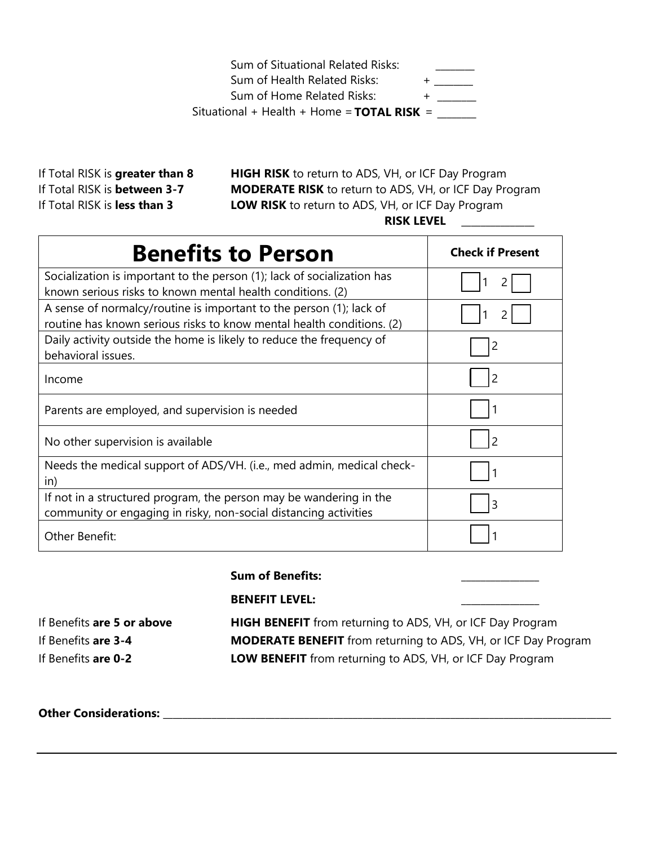Sum of Situational Related Risks: Sum of Health Related Risks: + \_\_\_\_\_\_\_\_ Sum of Home Related Risks: + \_\_\_\_\_\_ Situational + Health + Home = **TOTAL RISK** = \_\_\_\_\_\_\_\_

If Total RISK is **greater than 8**  If Total RISK is **between 3-7** 

**HIGH RISK** to return to ADS, VH, or ICF Day Program **MODERATE RISK** to return to ADS, VH, or ICF Day Program If Total RISK is **less than 3 LOW RISK** to return to ADS, VH, or ICF Day Program **RISK LEVEL** \_\_\_\_\_\_\_\_\_\_\_\_\_\_\_

| <b>Benefits to Person</b>                                                                                                                    | <b>Check if Present</b> |
|----------------------------------------------------------------------------------------------------------------------------------------------|-------------------------|
| Socialization is important to the person (1); lack of socialization has<br>known serious risks to known mental health conditions. (2)        |                         |
| A sense of normalcy/routine is important to the person (1); lack of<br>routine has known serious risks to know mental health conditions. (2) |                         |
| Daily activity outside the home is likely to reduce the frequency of<br>behavioral issues.                                                   | 2                       |
| Income                                                                                                                                       | $\overline{2}$          |
| Parents are employed, and supervision is needed                                                                                              |                         |
| No other supervision is available                                                                                                            | $\mathcal{P}$           |
| Needs the medical support of ADS/VH. (i.e., med admin, medical check-<br>in)                                                                 |                         |
| If not in a structured program, the person may be wandering in the<br>community or engaging in risky, non-social distancing activities       | 3                       |
| Other Benefit:                                                                                                                               |                         |

**Sum of Benefits:** 

#### **BENEFIT LEVEL: \_\_\_\_\_\_\_\_\_\_\_\_\_\_\_\_**

If Benefits **are 5 or above HIGH BENEFIT** from returning to ADS, VH, or ICF Day Program If Benefits **are 3-4 MODERATE BENEFIT** from returning to ADS, VH, or ICF Day Program If Benefits **are 0-2 LOW BENEFIT** from returning to ADS, VH, or ICF Day Program

### **Other Considerations:** \_\_\_\_\_\_\_\_\_\_\_\_\_\_\_\_\_\_\_\_\_\_\_\_\_\_\_\_\_\_\_\_\_\_\_\_\_\_\_\_\_\_\_\_\_\_\_\_\_\_\_\_\_\_\_\_\_\_\_\_\_\_\_\_\_\_\_\_\_\_\_\_\_\_\_\_\_\_\_\_\_\_\_\_\_\_\_\_\_\_\_\_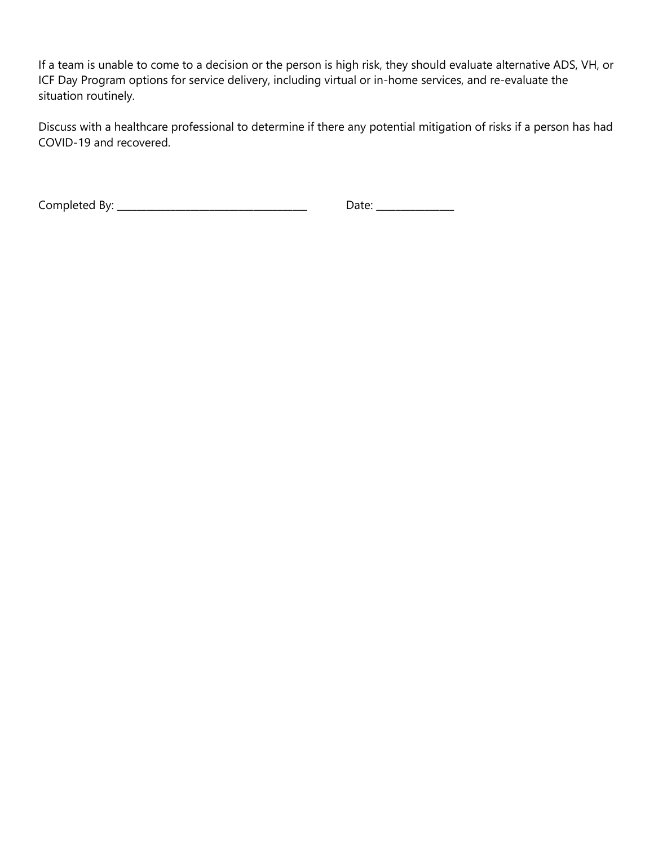If a team is unable to come to a decision or the person is high risk, they should evaluate alternative ADS, VH, or ICF Day Program options for service delivery, including virtual or in-home services, and re-evaluate the situation routinely.

Discuss with a healthcare professional to determine if there any potential mitigation of risks if a person has had COVID-19 and recovered.

Completed By: \_\_\_\_\_\_\_\_\_\_\_\_\_\_\_\_\_\_\_\_\_\_\_\_\_\_\_\_\_\_\_\_\_\_\_\_\_\_\_ Date: \_\_\_\_\_\_\_\_\_\_\_\_\_\_\_\_